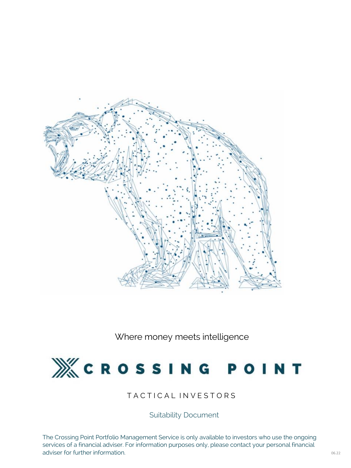The Crossing Point Portfolio Management Service is only available to investors who use the ongoing services of a financial adviser. For information purposes only, please contact your personal financial adviser for further information.



Where money meets intelligence

# $M'$  CROSSING POINT

## TACTICAL INVESTORS

Suitability Document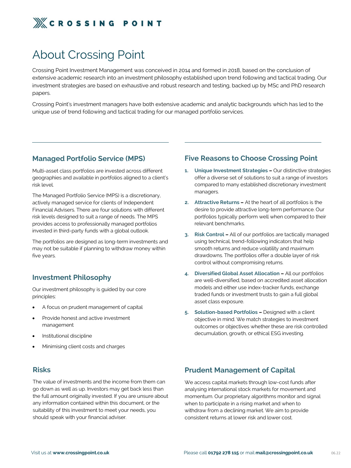

## About Crossing Point

Crossing Point Investment Management was conceived in 2014 and formed in 2018, based on the conclusion of extensive academic research into an investment philosophy established upon trend following and tactical trading. Our investment strategies are based on exhaustive and robust research and testing, backed up by MSc and PhD research papers.

Crossing Point's investment managers have both extensive academic and analytic backgrounds which has led to the unique use of trend following and tactical trading for our managed portfolio services.

#### **Managed Portfolio Service (MPS)**

Multi-asset class portfolios are invested across different geographies and available in portfolios aligned to a client's risk level.

The Managed Portfolio Service (MPS) is a discretionary, actively managed service for clients of Independent Financial Advisers. There are four solutions with different risk levels designed to suit a range of needs. The MPS provides access to professionally managed portfolios invested in third-party funds with a global outlook.

The portfolios are designed as long-term investments and may not be suitable if planning to withdraw money within five years.

### **Investment Philosophy**

Our investment philosophy is guided by our core principles:

- A focus on prudent management of capital
- Provide honest and active investment management

- Institutional discipline
- Minimising client costs and charges

### **Prudent Management of Capital**

We access capital markets through low-cost funds after analysing international stock markets for movement and momentum. Our proprietary algorithms monitor and signal when to participate in a rising market and when to withdraw from a declining market. We aim to provide consistent returns at lower risk and lower cost.

#### **Risks**

The value of investments and the income from them can go down as well as up. Investors may get back less than the full amount originally invested. If you are unsure about any information contained within this document, or the suitability of this investment to meet your needs, you should speak with your financial adviser.

#### **Five Reasons to Choose Crossing Point**

- **1. Unique Investment Strategies –** Our distinctive strategies offer a diverse set of solutions to suit a range of investors compared to many established discretionary investment managers.
- **2. Attractive Returns –** At the heart of all portfolios is the desire to provide attractive long-term performance. Our portfolios typically perform well when compared to their relevant benchmarks.
- **3.** Risk Control All of our portfolios are tactically managed using technical, trend-following indicators that help smooth returns and reduce volatility and maximum drawdowns. The portfolios offer a double layer of risk control without compromising returns.
- **4. Diversified Global Asset Allocation –** All our portfolios are well-diversified, based on accredited asset allocation models and either use index-tracker funds, exchange traded funds or investment trusts to gain a full global asset class exposure.
- **5. Solution-based Portfolios –** Designed with a client objective in mind. We match strategies to investment outcomes or objectives whether these are risk controlled

decumulation, growth, or ethical ESG investing.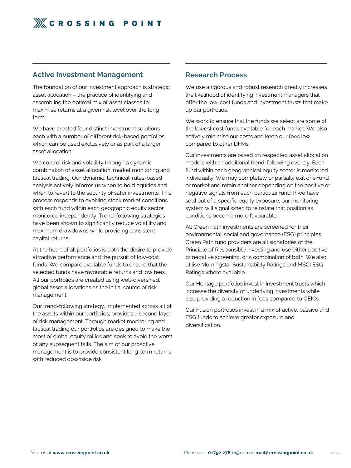

#### **Active Investment Management**

The foundation of our investment approach is strategic asset allocation – the practice of identifying and assembling the optimal mix of asset classes to maximise returns at a given risk level over the long term.

We have created four distinct investment solutions each with a number of different risk-based portfolios which can be used exclusively or as part of a larger asset allocation.

We control risk and volatility through a dynamic combination of asset allocation, market monitoring and tactical trading. Our dynamic, technical, rules-based analysis actively informs us when to hold equities and when to revert to the security of safer investments. This process responds to evolving stock market conditions with each fund within each geographic equity sector monitored independently. Trend-following strategies have been shown to significantly reduce volatility and maximum drawdowns while providing consistent capital returns.

We use a rigorous and robust research greatly increases the likelihood of identifying investment managers that offer the low-cost funds and investment trusts that make up our portfolios.

We work to ensure that the funds we select are some of the lowest cost funds available for each market. We also actively minimise our costs and keep our fees low compared to other DFMs.

At the heart of all portfolios is both the desire to provide attractive performance and the pursuit of low-cost funds. We compare available funds to ensure that the selected funds have favourable returns and low fees. All our portfolios are created using well-diversified, global asset allocations as the initial source of risk management.

Our trend-following strategy, implemented across all of the assets within our portfolios, provides a second layer of risk management. Through market monitoring and tactical trading our portfolios are designed to make the most of global equity rallies and seek to avoid the worst of any subsequent falls. The aim of our proactive management is to provide consistent long-term returns with reduced downside risk.

#### **Research Process**

Our investments are based on respected asset allocation models with an additional trend-following overlay. Each fund within each geographical equity sector is monitored individually. We may completely or partially exit one fund or market and retain another depending on the positive or negative signals from each particular fund. If we have sold out of a specific equity exposure, our monitoring system will signal when to reinstate that position as conditions become more favourable.

All Green Path investments are screened for their environmental, social and governance (ESG) principles. Green Path fund providers are all signatories of the Principle of Responsible Investing and use either positive or negative screening, or a combination of both. We also utilise Morningstar Sustainability Ratings and MSCI ESG Ratings where available.

Our Heritage portfolios invest in investment trusts which increase the diversity of underlying investments while also providing a reduction in fees compared to OEICs.

Our Fusion portfolios invest in a mix of active, passive and ESG funds to achieve greater exposure and diversification.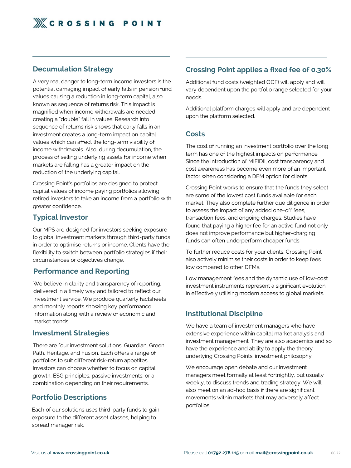

#### **Decumulation Strategy**

A very real danger to long-term income investors is the potential damaging impact of early falls in pension fund values causing a reduction in long-term capital, also known as sequence of returns risk. This impact is magnified when income withdrawals are needed creating a "double" fall in values. Research into sequence of returns risk shows that early falls in an investment creates a long-term impact on capital values which can affect the long-term viability of income withdrawals. Also, during decumulation, the process of selling underlying assets for income when markets are falling has a greater impact on the reduction of the underlying capital.

We believe in clarity and transparency of reporting, delivered in a timely way and tailored to reflect our investment service. We produce quarterly factsheets and monthly reports showing key performance information along with a review of economic and market trends.

Crossing Point's portfolios are designed to protect capital values of income paying portfolios allowing retired investors to take an income from a portfolio with greater confidence.

## **Typical Investor**

Our MPS are designed for investors seeking exposure to global investment markets through third-party funds in order to optimise returns or income. Clients have the flexibility to switch between portfolio strategies if their circumstances or objectives change.

### **Performance and Reporting**

#### **Investment Strategies**

There are four investment solutions: Guardian, Green Path, Heritage, and Fusion. Each offers a range of portfolios to suit different risk-return appetites. Investors can choose whether to focus on capital growth, ESG principles, passive investments, or a combination depending on their requirements.

#### **Portfolio Descriptions**

Each of our solutions uses third-party funds to gain exposure to the different asset classes, helping to spread manager risk.

We encourage open debate and our investment managers meet formally at least fortnightly, but usually weekly, to discuss trends and trading strategy. We will also meet on an ad-hoc basis if there are significant movements within markets that may adversely affect portfolios.

#### **Costs**

The cost of running an investment portfolio over the long term has one of the highest impacts on performance. Since the introduction of MIFIDII, cost transparency and cost awareness has become even more of an important factor when considering a DFM option for clients.

Crossing Point works to ensure that the funds they select are some of the lowest cost funds available for each market. They also complete further due diligence in order to assess the impact of any added one-off fees, transaction fees, and ongoing charges. Studies have found that paying a higher fee for an active fund not only does not improve performance but higher-charging funds can often underperform cheaper funds.

To further reduce costs for your clients, Crossing Point also actively minimise their costs in order to keep fees low compared to other DFMs.

Low management fees and the dynamic use of low-cost investment instruments represent a significant evolution in effectively utilising modern access to global markets.

## **Crossing Point applies a fixed fee of 0.30%**

Additional fund costs (weighted OCF) will apply and will vary dependent upon the portfolio range selected for your needs.

Additional platform charges will apply and are dependent upon the platform selected.

## **Institutional Discipline**

We have a team of investment managers who have extensive experience within capital market analysis and investment management. They are also academics and so have the experience and ability to apply the theory underlying Crossing Points' investment philosophy.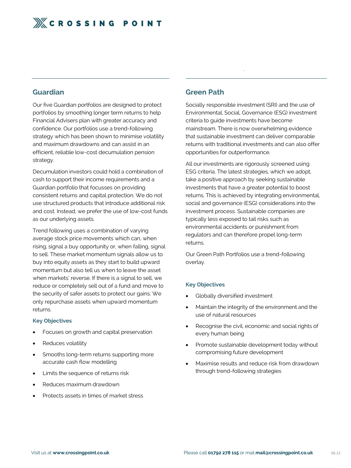

#### **Guardian**

Our five Guardian portfolios are designed to protect portfolios by smoothing longer term returns to help Financial Advisers plan with greater accuracy and confidence. Our portfolios use a trend-following strategy which has been shown to minimise volatility and maximum drawdowns and can assist in an efficient, reliable low-cost decumulation pension strategy.

Decumulation investors could hold a combination of cash to support their income requirements and a Guardian portfolio that focusses on providing consistent returns and capital protection. We do not use structured products that introduce additional risk and cost. Instead, we prefer the use of low-cost funds as our underlying assets.

Trend following uses a combination of varying average stock price movements which can, when rising, signal a buy opportunity or, when falling, signal to sell. These market momentum signals allow us to buy into equity assets as they start to build upward momentum but also tell us when to leave the asset when markets' reverse. If there is a signal to sell, we reduce or completely sell out of a fund and move to the security of safer assets to protect our gains. We only repurchase assets when upward momentum returns.

#### **Key Objectives**

.

#### **Green Path**

Socially responsible investment (SRI) and the use of Environmental, Social, Governance (ESG) investment criteria to guide investments have become mainstream. There is now overwhelming evidence that sustainable investment can deliver comparable returns with traditional investments and can also offer opportunities for outperformance.

- Globally diversified investment
- Maintain the integrity of the environment and the use of natural resources
- Recognise the civil, economic and social rights of every human being
- Focuses on growth and capital preservation
- Reduces volatility
- Smooths long-term returns supporting more accurate cash flow modelling
- Limits the sequence of returns risk
- Reduces maximum drawdown
- Protects assets in times of market stress

All our investments are rigorously screened using ESG criteria. The latest strategies, which we adopt, take a positive approach by seeking sustainable investments that have a greater potential to boost returns. This is achieved by integrating environmental, social and governance (ESG) considerations into the investment process. Sustainable companies are typically less exposed to tail risks such as environmental accidents or punishment from regulators and can therefore propel long-term returns.

Our Green Path Portfolios use a trend-following overlay.

#### **Key Objectives**

- Promote sustainable development today without compromising future development
- Maximise results and reduce risk from drawdown through trend-following strategies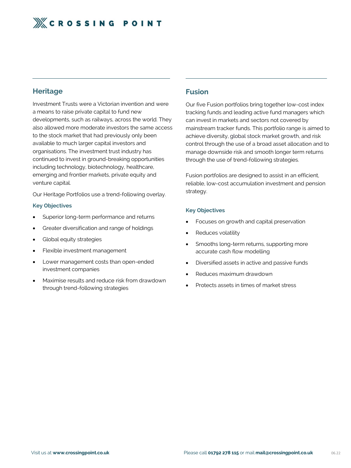

#### **Heritage**

Investment Trusts were a Victorian invention and were a means to raise private capital to fund new developments, such as railways, across the world. They also allowed more moderate investors the same access to the stock market that had previously only been available to much larger capital investors and organisations. The investment trust industry has continued to invest in ground-breaking opportunities including technology, biotechnology, healthcare, emerging and frontier markets, private equity and venture capital.

- Superior long-term performance and returns
- Greater diversification and range of holdings
- Global equity strategies
- Flexible investment management
- Lower management costs than open-ended investment companies
- Maximise results and reduce risk from drawdown through trend-following strategies

Our Heritage Portfolios use a trend-following overlay.

#### **Key Objectives**

#### **Fusion**

Our five Fusion portfolios bring together low-cost index tracking funds and leading active fund managers which can invest in markets and sectors not covered by mainstream tracker funds. This portfolio range is aimed to achieve diversity, global stock market growth, and risk control through the use of a broad asset allocation and to manage downside risk and smooth longer term returns through the use of trend-following strategies.

Fusion portfolios are designed to assist in an efficient, reliable, low-cost accumulation investment and pension strategy.

#### **Key Objectives**

- Focuses on growth and capital preservation
- Reduces volatility
- Smooths long-term returns, supporting more accurate cash flow modelling
- Diversified assets in active and passive funds
- Reduces maximum drawdown
- Protects assets in times of market stress